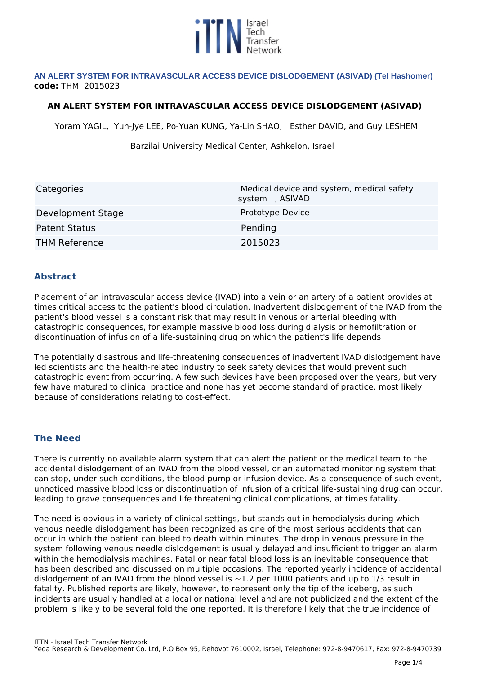

#### **AN ALERT SYSTEM FOR INTRAVASCULAR ACCESS DEVICE DISLODGEMENT (ASIVAD) (Tel Hashomer) code:** *THM 2015023*

#### **AN ALERT SYSTEM FOR INTRAVASCULAR ACCESS DEVICE DISLODGEMENT (ASIVAD)**

*Yoram YAGIL, Yuh-Jye LEE, Po-Yuan KUNG, Ya-Lin SHAO, Esther DAVID, and Guy LESHEM*

*Barzilai University Medical Center, Ashkelon, Israel* 

| Categories           | Medical device and system, medical safety<br>system, ASIVAD |
|----------------------|-------------------------------------------------------------|
| Development Stage    | Prototype Device                                            |
| <b>Patent Status</b> | Pending                                                     |
| <b>THM Reference</b> | 2015023                                                     |

# **Abstract**

*Placement of an intravascular access device (IVAD) into a vein or an artery of a patient provides at times critical access to the patient's blood circulation. Inadvertent dislodgement of the IVAD from the patient's blood vessel is a constant risk that may result in venous or arterial bleeding with catastrophic consequences, for example massive blood loss during dialysis or hemofiltration or discontinuation of infusion of a life-sustaining drug on which the patient's life depends*

*The potentially disastrous and life-threatening consequences of inadvertent IVAD dislodgement have led scientists and the health-related industry to seek safety devices that would prevent such catastrophic event from occurring. A few such devices have been proposed over the years, but very few have matured to clinical practice and none has yet become standard of practice, most likely because of considerations relating to cost-effect.*

#### **The Need**

*There is currently no available alarm system that can alert the patient or the medical team to the accidental dislodgement of an IVAD from the blood vessel, or an automated monitoring system that can stop, under such conditions, the blood pump or infusion device. As a consequence of such event, unnoticed massive blood loss or discontinuation of infusion of a critical life-sustaining drug can occur, leading to grave consequences and life threatening clinical complications, at times fatality.* 

*The need is obvious in a variety of clinical settings, but stands out in hemodialysis during which venous needle dislodgement has been recognized as one of the most serious accidents that can occur in which the patient can bleed to death within minutes. The drop in venous pressure in the system following venous needle dislodgement is usually delayed and insufficient to trigger an alarm within the hemodialysis machines. Fatal or near fatal blood loss is an inevitable consequence that has been described and discussed on multiple occasions. The reported yearly incidence of accidental dislodgement of an IVAD from the blood vessel is ~1.2 per 1000 patients and up to 1/3 result in fatality. Published reports are likely, however, to represent only the tip of the iceberg, as such incidents are usually handled at a local or national level and are not publicized and the extent of the problem is likely to be several fold the one reported. It is therefore likely that the true incidence of*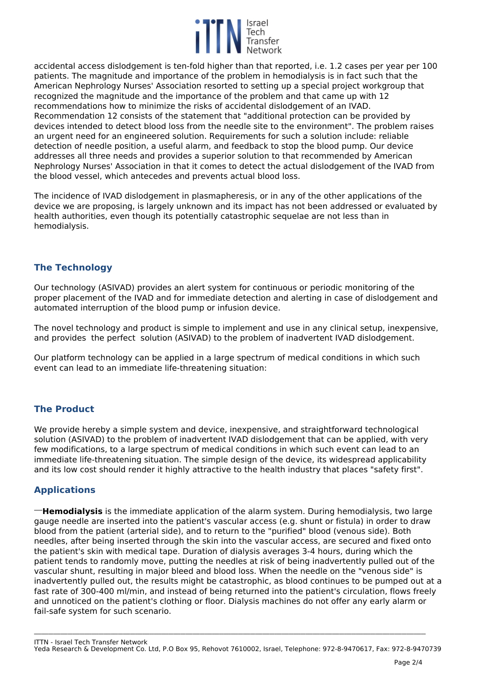

*accidental access dislodgement is ten-fold higher than that reported, i.e. 1.2 cases per year per 100 patients. The magnitude and importance of the problem in hemodialysis is in fact such that the American Nephrology Nurses' Association resorted to setting up a special project workgroup that recognized the magnitude and the importance of the problem and that came up with 12 recommendations how to minimize the risks of accidental dislodgement of an IVAD. Recommendation 12 consists of the statement that "additional protection can be provided by devices intended to detect blood loss from the needle site to the environment". The problem raises an urgent need for an engineered solution. Requirements for such a solution include: reliable detection of needle position, a useful alarm, and feedback to stop the blood pump. Our device addresses all three needs and provides a superior solution to that recommended by American Nephrology Nurses' Association in that it comes to detect the actual dislodgement of the IVAD from the blood vessel, which antecedes and prevents actual blood loss.*

*The incidence of IVAD dislodgement in plasmapheresis, or in any of the other applications of the device we are proposing, is largely unknown and its impact has not been addressed or evaluated by health authorities, even though its potentially catastrophic sequelae are not less than in hemodialysis.* 

# **The Technology**

*Our technology (ASIVAD) provides an alert system for continuous or periodic monitoring of the proper placement of the IVAD and for immediate detection and alerting in case of dislodgement and automated interruption of the blood pump or infusion device.*

*The novel technology and product is simple to implement and use in any clinical setup, inexpensive, and provides the perfect solution (ASIVAD) to the problem of inadvertent IVAD dislodgement.*

*Our platform technology can be applied in a large spectrum of medical conditions in which such event can lead to an immediate life-threatening situation:* 

# **The Product**

*We provide hereby a simple system and device, inexpensive, and straightforward technological solution (ASIVAD) to the problem of inadvertent IVAD dislodgement that can be applied, with very few modifications, to a large spectrum of medical conditions in which such event can lead to an immediate life-threatening situation. The simple design of the device, its widespread applicability and its low cost should render it highly attractive to the health industry that places "safety first".*

# **Applications**

*Hemodialysis* is the immediate application of the alarm system. During hemodialysis, two large *gauge needle are inserted into the patient's vascular access (e.g. shunt or fistula) in order to draw blood from the patient (arterial side), and to return to the "purified" blood (venous side). Both needles, after being inserted through the skin into the vascular access, are secured and fixed onto the patient's skin with medical tape. Duration of dialysis averages 3-4 hours, during which the patient tends to randomly move, putting the needles at risk of being inadvertently pulled out of the vascular shunt, resulting in major bleed and blood loss. When the needle on the "venous side" is inadvertently pulled out, the results might be catastrophic, as blood continues to be pumped out at a fast rate of 300-400 ml/min, and instead of being returned into the patient's circulation, flows freely and unnoticed on the patient's clothing or floor. Dialysis machines do not offer any early alarm or fail-safe system for such scenario.*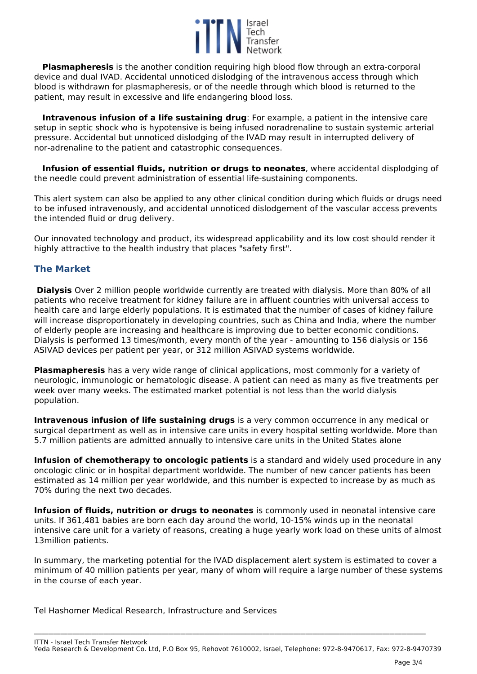

**Plasmapheresis** *is the another condition requiring high blood flow through an extra-corporal device and dual IVAD. Accidental unnoticed dislodging of the intravenous access through which blood is withdrawn for plasmapheresis, or of the needle through which blood is returned to the patient, may result in excessive and life endangering blood loss.* 

**Intravenous infusion of a life sustaining drug**: For example, a patient in the intensive care *setup in septic shock who is hypotensive is being infused noradrenaline to sustain systemic arterial pressure. Accidental but unnoticed dislodging of the IVAD may result in interrupted delivery of nor-adrenaline to the patient and catastrophic consequences.*

**Infusion of essential fluids, nutrition or drugs to neonates***, where accidental displodging of the needle could prevent administration of essential life-sustaining components.*

*This alert system can also be applied to any other clinical condition during which fluids or drugs need to be infused intravenously, and accidental unnoticed dislodgement of the vascular access prevents the intended fluid or drug delivery.* 

*Our innovated technology and product, its widespread applicability and its low cost should render it highly attractive to the health industry that places "safety first".*

# **The Market**

**Dialysis** *Over 2 million people worldwide currently are treated with dialysis. More than 80% of all patients who receive treatment for kidney failure are in affluent countries with universal access to health care and large elderly populations. It is estimated that the number of cases of kidney failure will increase disproportionately in developing countries, such as China and India, where the number of elderly people are increasing and healthcare is improving due to better economic conditions. Dialysis is performed 13 times/month, every month of the year - amounting to 156 dialysis or 156 ASIVAD devices per patient per year, or 312 million ASIVAD systems worldwide.* 

**Plasmapheresis** *has a very wide range of clinical applications, most commonly for a variety of neurologic, immunologic or hematologic disease. A patient can need as many as five treatments per week over many weeks. The estimated market potential is not less than the world dialysis population.* 

**Intravenous infusion of life sustaining drugs** *is a very common occurrence in any medical or surgical department as well as in intensive care units in every hospital setting worldwide. More than 5.7 million patients are admitted annually to intensive care units in the United States alone* 

**Infusion of chemotherapy to oncologic patients** *is a standard and widely used procedure in any oncologic clinic or in hospital department worldwide. The number of new cancer patients has been estimated as 14 million per year worldwide, and this number is expected to increase by as much as 70% during the next two decades.*

**Infusion of fluids, nutrition or drugs to neonates** *is commonly used in neonatal intensive care units. If 361,481 babies are born each day around the world, 10-15% winds up in the neonatal intensive care unit for a variety of reasons, creating a huge yearly work load on these units of almost 13million patients.*

*In summary, the marketing potential for the IVAD displacement alert system is estimated to cover a minimum of 40 million patients per year, many of whom will require a large number of these systems in the course of each year.* 

*Tel Hashomer Medical Research, Infrastructure and Services*

*ITTN - Israel Tech Transfer Network Yeda Research & Development Co. Ltd, P.O Box 95, Rehovot 7610002, Israel, Telephone: 972-8-9470617, Fax: 972-8-9470739*